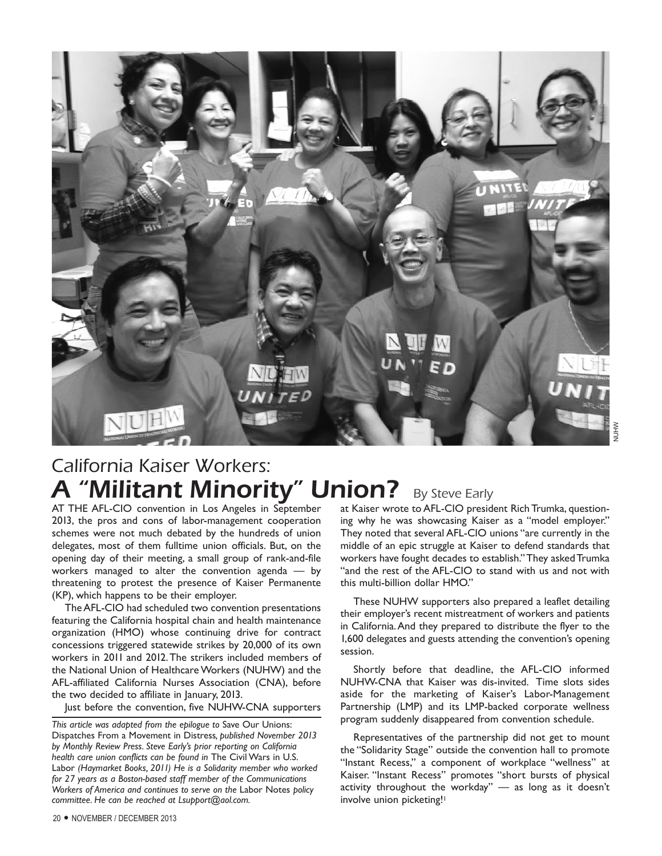

# California Kaiser Workers: A "Militant Minority" Union? By Steve Early

AT THE AFL-CIO convention in Los Angeles in September 2013, the pros and cons of labor-management cooperation schemes were not much debated by the hundreds of union delegates, most of them fulltime union officials. But, on the opening day of their meeting, a small group of rank-and-file workers managed to alter the convention agenda — by threatening to protest the presence of Kaiser Permanente (KP), which happens to be their employer.

The AFL-CIO had scheduled two convention presentations featuring the California hospital chain and health maintenance organization (HMO) whose continuing drive for contract concessions triggered statewide strikes by 20,000 of its own workers in 2011 and 2012. The strikers included members of the National Union of Healthcare Workers (NUHW) and the AFL-affiliated California Nurses Association (CNA), before the two decided to affiliate in January, 2013.

Just before the convention, five NUHW-CNA supporters

at Kaiser wrote to AFL-CIO president Rich Trumka, questioning why he was showcasing Kaiser as a "model employer." They noted that several AFL-CIO unions "are currently in the middle of an epic struggle at Kaiser to defend standards that workers have fought decades to establish." They asked Trumka "and the rest of the AFL-CIO to stand with us and not with this multi-billion dollar HMO."

These NUHW supporters also prepared a leaflet detailing their employer's recent mistreatment of workers and patients in California. And they prepared to distribute the flyer to the 1,600 delegates and guests attending the convention's opening session.

Shortly before that deadline, the AFL-CIO informed NUHW-CNA that Kaiser was dis-invited. Time slots sides aside for the marketing of Kaiser's Labor-Management Partnership (LMP) and its LMP-backed corporate wellness program suddenly disappeared from convention schedule.

Representatives of the partnership did not get to mount the "Solidarity Stage" outside the convention hall to promote "Instant Recess," a component of workplace "wellness" at Kaiser. "Instant Recess" promotes "short bursts of physical activity throughout the workday" — as long as it doesn't involve union picketing!<sup>1</sup>

*This article was adapted from the epilogue to* Save Our Unions: Dispatches From a Movement in Distress*, published November 2013 by Monthly Review Press. Steve Early's prior reporting on California health care union conflicts can be found in* The Civil Wars in U.S. Labor *(Haymarket Books, 2011) He is a Solidarity member who worked for 27 years as a Boston-based staff member of the Communications Workers of America and continues to serve on the* Labor Notes *policy committee. He can be reached at Lsupport@aol.com.*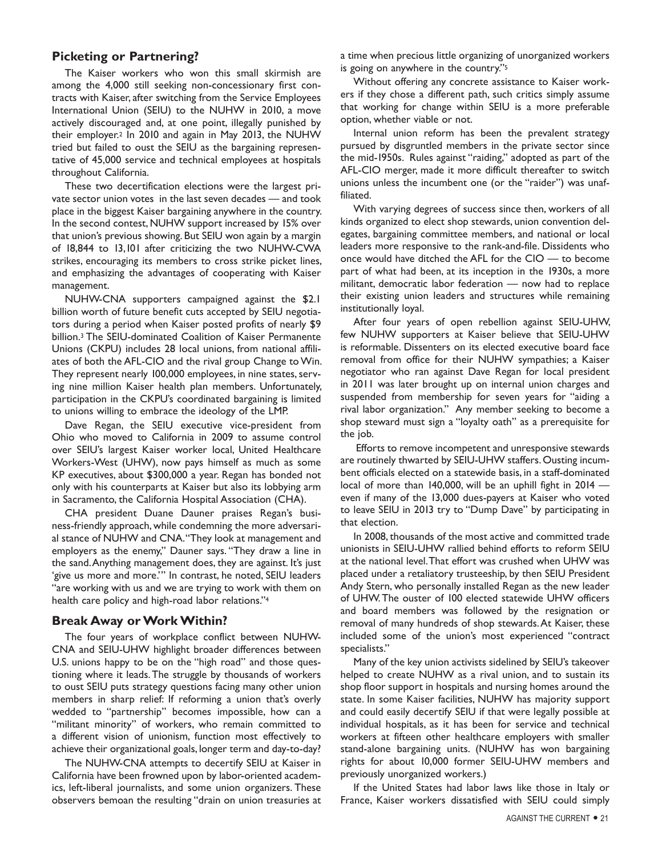### **Picketing or Partnering?**

The Kaiser workers who won this small skirmish are among the 4,000 still seeking non-concessionary first contracts with Kaiser, after switching from the Service Employees International Union (SEIU) to the NUHW in 2010, a move actively discouraged and, at one point, illegally punished by their employer.2 In 2010 and again in May 2013, the NUHW tried but failed to oust the SEIU as the bargaining representative of 45,000 service and technical employees at hospitals throughout California.

These two decertification elections were the largest private sector union votes in the last seven decades — and took place in the biggest Kaiser bargaining anywhere in the country. In the second contest, NUHW support increased by 15% over that union's previous showing. But SEIU won again by a margin of 18,844 to 13,101 after criticizing the two NUHW-CWA strikes, encouraging its members to cross strike picket lines, and emphasizing the advantages of cooperating with Kaiser management.

NUHW-CNA supporters campaigned against the \$2.1 billion worth of future benefit cuts accepted by SEIU negotiators during a period when Kaiser posted profits of nearly \$9 billion.3 The SEIU-dominated Coalition of Kaiser Permanente Unions (CKPU) includes 28 local unions, from national affiliates of both the AFL-CIO and the rival group Change to Win. They represent nearly 100,000 employees, in nine states, serving nine million Kaiser health plan members. Unfortunately, participation in the CKPU's coordinated bargaining is limited to unions willing to embrace the ideology of the LMP.

Dave Regan, the SEIU executive vice-president from Ohio who moved to California in 2009 to assume control over SEIU's largest Kaiser worker local, United Healthcare Workers-West (UHW), now pays himself as much as some KP executives, about \$300,000 a year. Regan has bonded not only with his counterparts at Kaiser but also its lobbying arm in Sacramento, the California Hospital Association (CHA).

CHA president Duane Dauner praises Regan's business-friendly approach, while condemning the more adversarial stance of NUHW and CNA. "They look at management and employers as the enemy," Dauner says. "They draw a line in the sand. Anything management does, they are against. It's just 'give us more and more.'" In contrast, he noted, SEIU leaders "are working with us and we are trying to work with them on health care policy and high-road labor relations."4

#### **Break Away or Work Within?**

The four years of workplace conflict between NUHW-CNA and SEIU-UHW highlight broader differences between U.S. unions happy to be on the "high road" and those questioning where it leads. The struggle by thousands of workers to oust SEIU puts strategy questions facing many other union members in sharp relief: If reforming a union that's overly wedded to "partnership" becomes impossible, how can a "militant minority" of workers, who remain committed to a different vision of unionism, function most effectively to achieve their organizational goals, longer term and day-to-day?

The NUHW-CNA attempts to decertify SEIU at Kaiser in California have been frowned upon by labor-oriented academics, left-liberal journalists, and some union organizers. These observers bemoan the resulting "drain on union treasuries at a time when precious little organizing of unorganized workers is going on anywhere in the country."5

Without offering any concrete assistance to Kaiser workers if they chose a different path, such critics simply assume that working for change within SEIU is a more preferable option, whether viable or not.

Internal union reform has been the prevalent strategy pursued by disgruntled members in the private sector since the mid-1950s. Rules against "raiding," adopted as part of the AFL-CIO merger, made it more difficult thereafter to switch unions unless the incumbent one (or the "raider") was unaffiliated.

With varying degrees of success since then, workers of all kinds organized to elect shop stewards, union convention delegates, bargaining committee members, and national or local leaders more responsive to the rank-and-file. Dissidents who once would have ditched the AFL for the CIO — to become part of what had been, at its inception in the 1930s, a more militant, democratic labor federation — now had to replace their existing union leaders and structures while remaining institutionally loyal.

After four years of open rebellion against SEIU-UHW, few NUHW supporters at Kaiser believe that SEIU-UHW is reformable. Dissenters on its elected executive board face removal from office for their NUHW sympathies; a Kaiser negotiator who ran against Dave Regan for local president in 2011 was later brought up on internal union charges and suspended from membership for seven years for "aiding a rival labor organization." Any member seeking to become a shop steward must sign a "loyalty oath" as a prerequisite for the job.

 Efforts to remove incompetent and unresponsive stewards are routinely thwarted by SEIU-UHW staffers. Ousting incumbent officials elected on a statewide basis, in a staff-dominated local of more than 140,000, will be an uphill fight in 2014 even if many of the 13,000 dues-payers at Kaiser who voted to leave SEIU in 2013 try to "Dump Dave" by participating in that election.

In 2008, thousands of the most active and committed trade unionists in SEIU-UHW rallied behind efforts to reform SEIU at the national level. That effort was crushed when UHW was placed under a retaliatory trusteeship, by then SEIU President Andy Stern, who personally installed Regan as the new leader of UHW. The ouster of 100 elected statewide UHW officers and board members was followed by the resignation or removal of many hundreds of shop stewards. At Kaiser, these included some of the union's most experienced "contract specialists."

Many of the key union activists sidelined by SEIU's takeover helped to create NUHW as a rival union, and to sustain its shop floor support in hospitals and nursing homes around the state. In some Kaiser facilities, NUHW has majority support and could easily decertify SEIU if that were legally possible at individual hospitals, as it has been for service and technical workers at fifteen other healthcare employers with smaller stand-alone bargaining units. (NUHW has won bargaining rights for about 10,000 former SEIU-UHW members and previously unorganized workers.)

If the United States had labor laws like those in Italy or France, Kaiser workers dissatisfied with SEIU could simply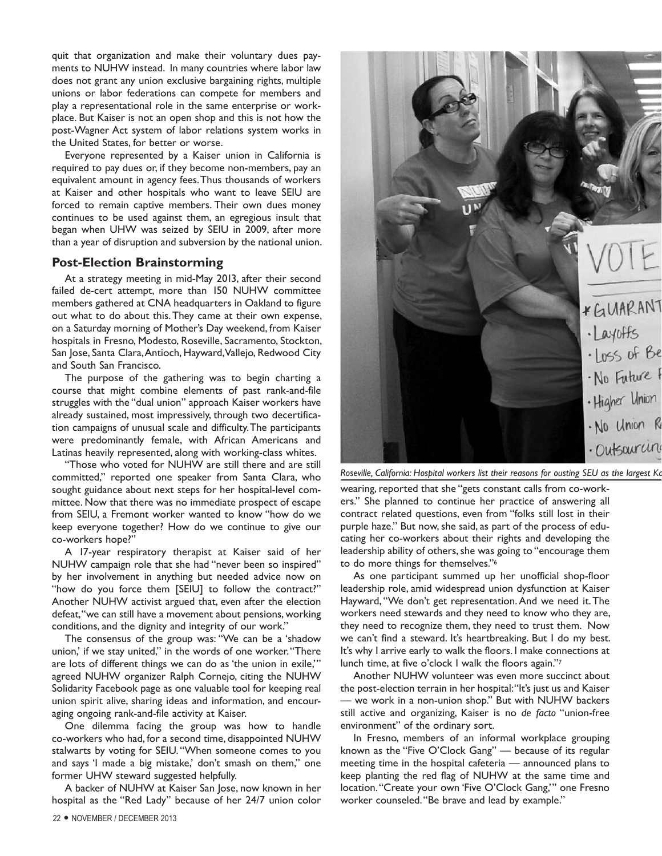quit that organization and make their voluntary dues payments to NUHW instead. In many countries where labor law does not grant any union exclusive bargaining rights, multiple unions or labor federations can compete for members and play a representational role in the same enterprise or workplace. But Kaiser is not an open shop and this is not how the post-Wagner Act system of labor relations system works in the United States, for better or worse.

Everyone represented by a Kaiser union in California is required to pay dues or, if they become non-members, pay an equivalent amount in agency fees. Thus thousands of workers at Kaiser and other hospitals who want to leave SEIU are forced to remain captive members. Their own dues money continues to be used against them, an egregious insult that began when UHW was seized by SEIU in 2009, after more than a year of disruption and subversion by the national union.

#### **Post-Election Brainstorming**

At a strategy meeting in mid-May 2013, after their second failed de-cert attempt, more than 150 NUHW committee members gathered at CNA headquarters in Oakland to figure out what to do about this. They came at their own expense, on a Saturday morning of Mother's Day weekend, from Kaiser hospitals in Fresno, Modesto, Roseville, Sacramento, Stockton, San Jose, Santa Clara, Antioch, Hayward, Vallejo, Redwood City and South San Francisco.

The purpose of the gathering was to begin charting a course that might combine elements of past rank-and-file struggles with the "dual union" approach Kaiser workers have already sustained, most impressively, through two decertification campaigns of unusual scale and difficulty. The participants were predominantly female, with African Americans and Latinas heavily represented, along with working-class whites.

"Those who voted for NUHW are still there and are still committed," reported one speaker from Santa Clara, who sought guidance about next steps for her hospital-level committee. Now that there was no immediate prospect of escape from SEIU, a Fremont worker wanted to know "how do we keep everyone together? How do we continue to give our co-workers hope?"

A 17-year respiratory therapist at Kaiser said of her NUHW campaign role that she had "never been so inspired" by her involvement in anything but needed advice now on "how do you force them [SEIU] to follow the contract?" Another NUHW activist argued that, even after the election defeat, "we can still have a movement about pensions, working conditions, and the dignity and integrity of our work."

The consensus of the group was: "We can be a 'shadow union,' if we stay united," in the words of one worker. "There are lots of different things we can do as 'the union in exile,'" agreed NUHW organizer Ralph Cornejo, citing the NUHW Solidarity Facebook page as one valuable tool for keeping real union spirit alive, sharing ideas and information, and encouraging ongoing rank-and-file activity at Kaiser.

One dilemma facing the group was how to handle co-workers who had, for a second time, disappointed NUHW stalwarts by voting for SEIU. "When someone comes to you and says 'I made a big mistake,' don't smash on them," one former UHW steward suggested helpfully.

A backer of NUHW at Kaiser San Jose, now known in her hospital as the "Red Lady" because of her 24/7 union color



*Roseville, California: Hospital workers list their reasons for ousting SEU as the largest Kaiser union.* 

wearing, reported that she "gets constant calls from co-workers." She planned to continue her practice of answering all contract related questions, even from "folks still lost in their purple haze." But now, she said, as part of the process of educating her co-workers about their rights and developing the leadership ability of others, she was going to "encourage them to do more things for themselves."6

As one participant summed up her unofficial shop-floor leadership role, amid widespread union dysfunction at Kaiser Hayward, "We don't get representation. And we need it. The workers need stewards and they need to know who they are, they need to recognize them, they need to trust them. Now we can't find a steward. It's heartbreaking. But I do my best. It's why I arrive early to walk the floors. I make connections at lunch time, at five o'clock I walk the floors again."7

Another NUHW volunteer was even more succinct about the post-election terrain in her hospital: "It's just us and Kaiser — we work in a non-union shop." But with NUHW backers still active and organizing, Kaiser is no *de facto* "union-free environment" of the ordinary sort.

In Fresno, members of an informal workplace grouping known as the "Five O'Clock Gang" — because of its regular meeting time in the hospital cafeteria — announced plans to keep planting the red flag of NUHW at the same time and location. "Create your own 'Five O'Clock Gang,'" one Fresno worker counseled. "Be brave and lead by example."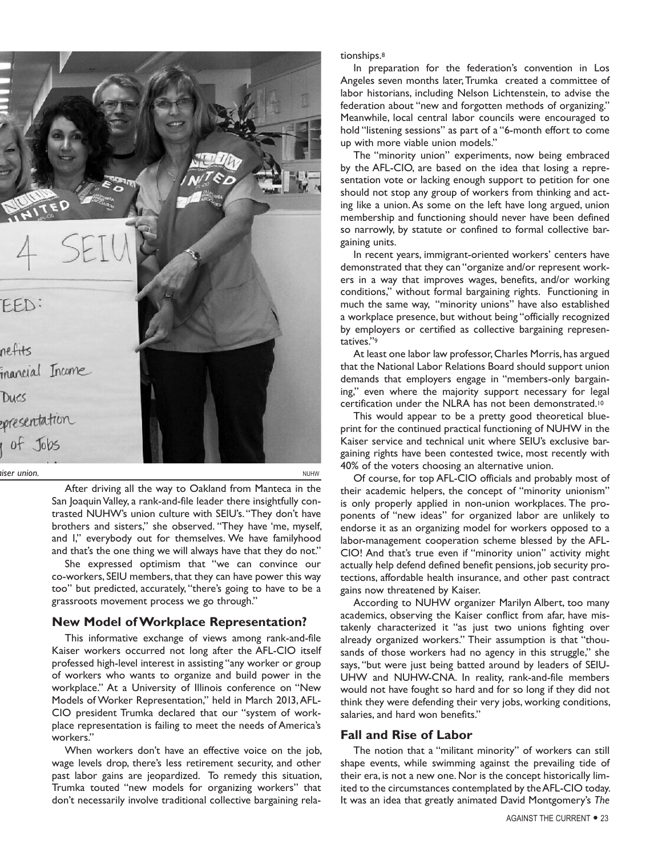

After driving all the way to Oakland from Manteca in the San Joaquin Valley, a rank-and-file leader there insightfully contrasted NUHW's union culture with SEIU's. "They don't have brothers and sisters," she observed. "They have 'me, myself, and I," everybody out for themselves. We have familyhood and that's the one thing we will always have that they do not."

She expressed optimism that "we can convince our co-workers, SEIU members, that they can have power this way too" but predicted, accurately, "there's going to have to be a grassroots movement process we go through."

# **New Model of Workplace Representation?**

This informative exchange of views among rank-and-file Kaiser workers occurred not long after the AFL-CIO itself professed high-level interest in assisting "any worker or group of workers who wants to organize and build power in the workplace." At a University of Illinois conference on "New Models of Worker Representation," held in March 2013, AFL-CIO president Trumka declared that our "system of workplace representation is failing to meet the needs of America's workers."

When workers don't have an effective voice on the job, wage levels drop, there's less retirement security, and other past labor gains are jeopardized. To remedy this situation, Trumka touted "new models for organizing workers" that don't necessarily involve traditional collective bargaining relationships.8

In preparation for the federation's convention in Los Angeles seven months later, Trumka created a committee of labor historians, including Nelson Lichtenstein, to advise the federation about "new and forgotten methods of organizing." Meanwhile, local central labor councils were encouraged to hold "listening sessions" as part of a "6-month effort to come up with more viable union models."

The "minority union" experiments, now being embraced by the AFL-CIO, are based on the idea that losing a representation vote or lacking enough support to petition for one should not stop any group of workers from thinking and acting like a union. As some on the left have long argued, union membership and functioning should never have been defined so narrowly, by statute or confined to formal collective bargaining units.

In recent years, immigrant-oriented workers' centers have demonstrated that they can "organize and/or represent workers in a way that improves wages, benefits, and/or working conditions," without formal bargaining rights. Functioning in much the same way, "minority unions" have also established a workplace presence, but without being "officially recognized by employers or certified as collective bargaining representatives."9

At least one labor law professor, Charles Morris, has argued that the National Labor Relations Board should support union demands that employers engage in "members-only bargaining," even where the majority support necessary for legal certification under the NLRA has not been demonstrated.10

This would appear to be a pretty good theoretical blueprint for the continued practical functioning of NUHW in the Kaiser service and technical unit where SEIU's exclusive bargaining rights have been contested twice, most recently with 40% of the voters choosing an alternative union.

Of course, for top AFL-CIO officials and probably most of their academic helpers, the concept of "minority unionism" is only properly applied in non-union workplaces. The proponents of "new ideas" for organized labor are unlikely to endorse it as an organizing model for workers opposed to a labor-management cooperation scheme blessed by the AFL-CIO! And that's true even if "minority union" activity might actually help defend defined benefit pensions, job security protections, affordable health insurance, and other past contract gains now threatened by Kaiser.

According to NUHW organizer Marilyn Albert, too many academics, observing the Kaiser conflict from afar, have mistakenly characterized it "as just two unions fighting over already organized workers." Their assumption is that "thousands of those workers had no agency in this struggle," she says, "but were just being batted around by leaders of SEIU-UHW and NUHW-CNA. In reality, rank-and-file members would not have fought so hard and for so long if they did not think they were defending their very jobs, working conditions, salaries, and hard won benefits."

# **Fall and Rise of Labor**

The notion that a "militant minority" of workers can still shape events, while swimming against the prevailing tide of their era, is not a new one. Nor is the concept historically limited to the circumstances contemplated by the AFL-CIO today. It was an idea that greatly animated David Montgomery's *The*